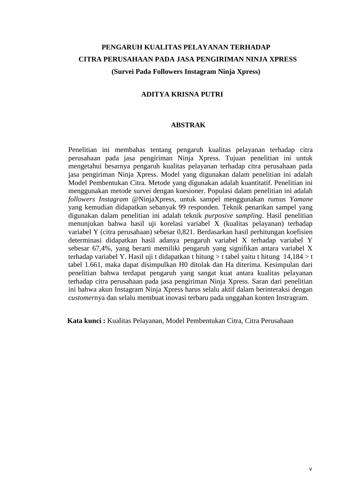## **PENGARUH KUALITAS PELAYANAN TERHADAP CITRA PERUSAHAAN PADA JASA PENGIRIMAN NINJA XPRESS (Survei Pada Followers Instagram Ninja Xpress)**

### **ADITYA KRISNA PUTRI**

#### **ABSTRAK**

Penelitian ini membahas tentang pengaruh kualitas pelayanan terhadap citra perusahaan pada jasa pengiriman Ninja Xpress. Tujuan penelitian ini untuk mengetahui besarnya pengaruh kualitas pelayanan terhadap citra perusahaan pada jasa pengiriman Ninja Xpress. Model yang digunakan dalam penelitian ini adalah Model Pembentukan Citra. Metode yang digunakan adalah kuantitatif. Penelitian ini menggunakan metode survei dengan kuesioner. Populasi dalam penelitian ini adalah *followers Instagram* @NinjaXpress, untuk sampel menggunakan rumus *Yamane* yang kemudian didapatkan sebanyak 99 responden. Teknik penarikan sampel yang digunakan dalam penelitian ini adalah teknik *purposive sampling*. Hasil penelitian menunjukan bahwa hasil uji korelasi variabel X (kualitas pelayanan) terhadap variabel Y (citra perusahaan) sebesar 0,821. Berdasarkan hasil perhitungan koefisien determinasi didapatkan hasil adanya pengaruh variabel X terhadap variabel Y sebesar 67,4%, yang berarti memiliki pengaruh yang signifikan antara variabel X terhadap variabel Y. Hasil uji t didapatkan t hitung  $>$  t tabel yaitu t hitung 14,184  $>$  t tabel 1.661, maka dapat disimpulkan H0 ditolak dan Ha diterima. Kesimpulan dari penelitian bahwa terdapat pengaruh yang sangat kuat antara kualitas pelayanan terhadap citra perusahaan pada jasa pengiriman Ninja Xpress. Saran dari penelitian ini bahwa akun Instagram Ninja Xpress harus selalu aktif dalam berinteraksi dengan *customer*nya dan selalu membuat inovasi terbaru pada unggahan konten Instragram.

**Kata kunci :** Kualitas Pelayanan, Model Pembentukan Citra, Citra Perusahaan